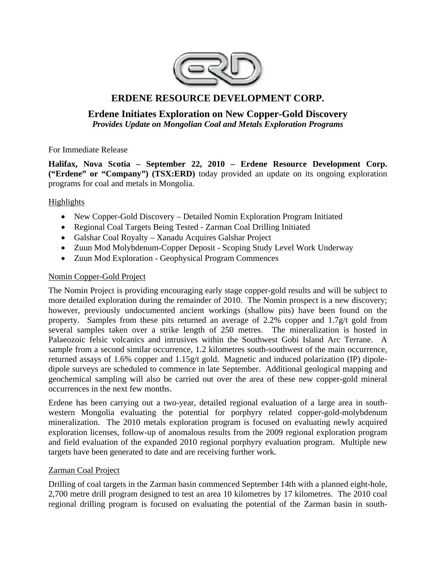

# **ERDENE RESOURCE DEVELOPMENT CORP.**

# **Erdene Initiates Exploration on New Copper-Gold Discovery**  *Provides Update on Mongolian Coal and Metals Exploration Programs*

For Immediate Release

**Halifax, Nova Scotia – September 22, 2010 – Erdene Resource Development Corp. ("Erdene" or "Company") (TSX:ERD)** today provided an update on its ongoing exploration programs for coal and metals in Mongolia.

## Highlights

- New Copper-Gold Discovery Detailed Nomin Exploration Program Initiated
- Regional Coal Targets Being Tested Zarman Coal Drilling Initiated
- Galshar Coal Royalty Xanadu Acquires Galshar Project
- Zuun Mod Molybdenum-Copper Deposit Scoping Study Level Work Underway
- Zuun Mod Exploration Geophysical Program Commences

## Nomin Copper-Gold Project

The Nomin Project is providing encouraging early stage copper-gold results and will be subject to more detailed exploration during the remainder of 2010. The Nomin prospect is a new discovery; however, previously undocumented ancient workings (shallow pits) have been found on the property. Samples from these pits returned an average of 2.2% copper and 1.7g/t gold from several samples taken over a strike length of 250 metres. The mineralization is hosted in Palaeozoic felsic volcanics and intrusives within the Southwest Gobi Island Arc Terrane. A sample from a second similar occurrence, 1.2 kilometres south-southwest of the main occurrence, returned assays of 1.6% copper and 1.15g/t gold. Magnetic and induced polarization (IP) dipoledipole surveys are scheduled to commence in late September. Additional geological mapping and geochemical sampling will also be carried out over the area of these new copper-gold mineral occurrences in the next few months.

Erdene has been carrying out a two-year, detailed regional evaluation of a large area in southwestern Mongolia evaluating the potential for porphyry related copper-gold-molybdenum mineralization. The 2010 metals exploration program is focused on evaluating newly acquired exploration licenses, follow-up of anomalous results from the 2009 regional exploration program and field evaluation of the expanded 2010 regional porphyry evaluation program. Multiple new targets have been generated to date and are receiving further work.

## Zarman Coal Project

Drilling of coal targets in the Zarman basin commenced September 14th with a planned eight-hole, 2,700 metre drill program designed to test an area 10 kilometres by 17 kilometres. The 2010 coal regional drilling program is focused on evaluating the potential of the Zarman basin in south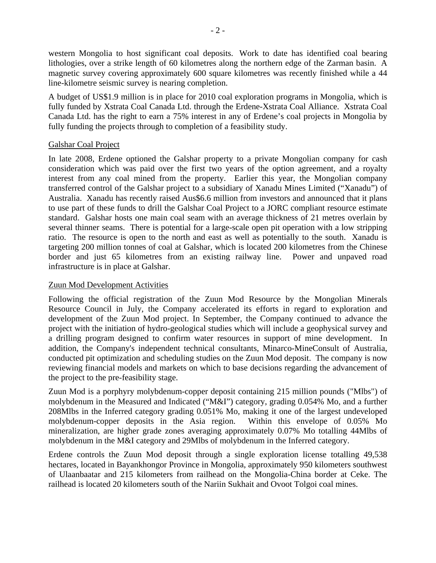western Mongolia to host significant coal deposits. Work to date has identified coal bearing lithologies, over a strike length of 60 kilometres along the northern edge of the Zarman basin. A magnetic survey covering approximately 600 square kilometres was recently finished while a 44 line-kilometre seismic survey is nearing completion.

A budget of US\$1.9 million is in place for 2010 coal exploration programs in Mongolia, which is fully funded by Xstrata Coal Canada Ltd. through the Erdene-Xstrata Coal Alliance. Xstrata Coal Canada Ltd. has the right to earn a 75% interest in any of Erdene's coal projects in Mongolia by fully funding the projects through to completion of a feasibility study.

### Galshar Coal Project

In late 2008, Erdene optioned the Galshar property to a private Mongolian company for cash consideration which was paid over the first two years of the option agreement, and a royalty interest from any coal mined from the property. Earlier this year, the Mongolian company transferred control of the Galshar project to a subsidiary of Xanadu Mines Limited ("Xanadu") of Australia. Xanadu has recently raised Aus\$6.6 million from investors and announced that it plans to use part of these funds to drill the Galshar Coal Project to a JORC compliant resource estimate standard. Galshar hosts one main coal seam with an average thickness of 21 metres overlain by several thinner seams. There is potential for a large-scale open pit operation with a low stripping ratio. The resource is open to the north and east as well as potentially to the south. Xanadu is targeting 200 million tonnes of coal at Galshar, which is located 200 kilometres from the Chinese border and just 65 kilometres from an existing railway line. Power and unpaved road infrastructure is in place at Galshar.

### Zuun Mod Development Activities

Following the official registration of the Zuun Mod Resource by the Mongolian Minerals Resource Council in July, the Company accelerated its efforts in regard to exploration and development of the Zuun Mod project. In September, the Company continued to advance the project with the initiation of hydro-geological studies which will include a geophysical survey and a drilling program designed to confirm water resources in support of mine development. In addition, the Company's independent technical consultants, Minarco-MineConsult of Australia, conducted pit optimization and scheduling studies on the Zuun Mod deposit. The company is now reviewing financial models and markets on which to base decisions regarding the advancement of the project to the pre-feasibility stage.

Zuun Mod is a porphyry molybdenum-copper deposit containing 215 million pounds ("Mlbs") of molybdenum in the Measured and Indicated ("M&I") category, grading 0.054% Mo, and a further 208Mlbs in the Inferred category grading 0.051% Mo, making it one of the largest undeveloped molybdenum-copper deposits in the Asia region. Within this envelope of 0.05% Mo mineralization, are higher grade zones averaging approximately 0.07% Mo totalling 44Mlbs of molybdenum in the M&I category and 29Mlbs of molybdenum in the Inferred category.

Erdene controls the Zuun Mod deposit through a single exploration license totalling 49,538 hectares, located in Bayankhongor Province in Mongolia, approximately 950 kilometers southwest of Ulaanbaatar and 215 kilometers from railhead on the Mongolia-China border at Ceke. The railhead is located 20 kilometers south of the Nariin Sukhait and Ovoot Tolgoi coal mines.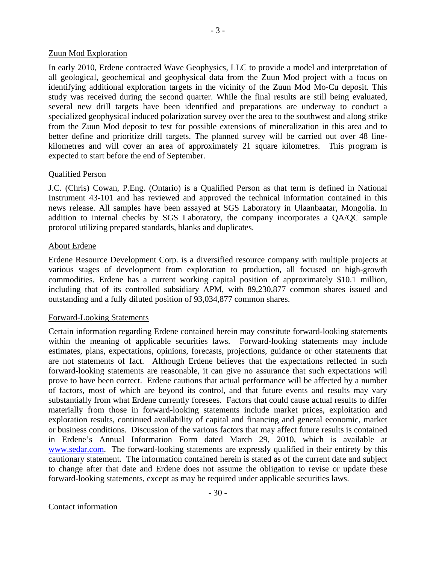#### Zuun Mod Exploration

In early 2010, Erdene contracted Wave Geophysics, LLC to provide a model and interpretation of all geological, geochemical and geophysical data from the Zuun Mod project with a focus on identifying additional exploration targets in the vicinity of the Zuun Mod Mo-Cu deposit. This study was received during the second quarter. While the final results are still being evaluated, several new drill targets have been identified and preparations are underway to conduct a specialized geophysical induced polarization survey over the area to the southwest and along strike from the Zuun Mod deposit to test for possible extensions of mineralization in this area and to better define and prioritize drill targets. The planned survey will be carried out over 48 linekilometres and will cover an area of approximately 21 square kilometres. This program is expected to start before the end of September.

#### Qualified Person

J.C. (Chris) Cowan, P.Eng. (Ontario) is a Qualified Person as that term is defined in National Instrument 43-101 and has reviewed and approved the technical information contained in this news release. All samples have been assayed at SGS Laboratory in Ulaanbaatar, Mongolia. In addition to internal checks by SGS Laboratory, the company incorporates a QA/QC sample protocol utilizing prepared standards, blanks and duplicates.

### About Erdene

Erdene Resource Development Corp. is a diversified resource company with multiple projects at various stages of development from exploration to production, all focused on high-growth commodities. Erdene has a current working capital position of approximately \$10.1 million, including that of its controlled subsidiary APM, with 89,230,877 common shares issued and outstanding and a fully diluted position of 93,034,877 common shares.

#### Forward-Looking Statements

Certain information regarding Erdene contained herein may constitute forward-looking statements within the meaning of applicable securities laws. Forward-looking statements may include estimates, plans, expectations, opinions, forecasts, projections, guidance or other statements that are not statements of fact. Although Erdene believes that the expectations reflected in such forward-looking statements are reasonable, it can give no assurance that such expectations will prove to have been correct. Erdene cautions that actual performance will be affected by a number of factors, most of which are beyond its control, and that future events and results may vary substantially from what Erdene currently foresees. Factors that could cause actual results to differ materially from those in forward-looking statements include market prices, exploitation and exploration results, continued availability of capital and financing and general economic, market or business conditions. Discussion of the various factors that may affect future results is contained in Erdene's Annual Information Form dated March 29, 2010, which is available at [www.sedar.com.](http://www.sedar.com/) The forward-looking statements are expressly qualified in their entirety by this cautionary statement. The information contained herein is stated as of the current date and subject to change after that date and Erdene does not assume the obligation to revise or update these forward-looking statements, except as may be required under applicable securities laws.

 $-30-$ 

- 3 -

Contact information